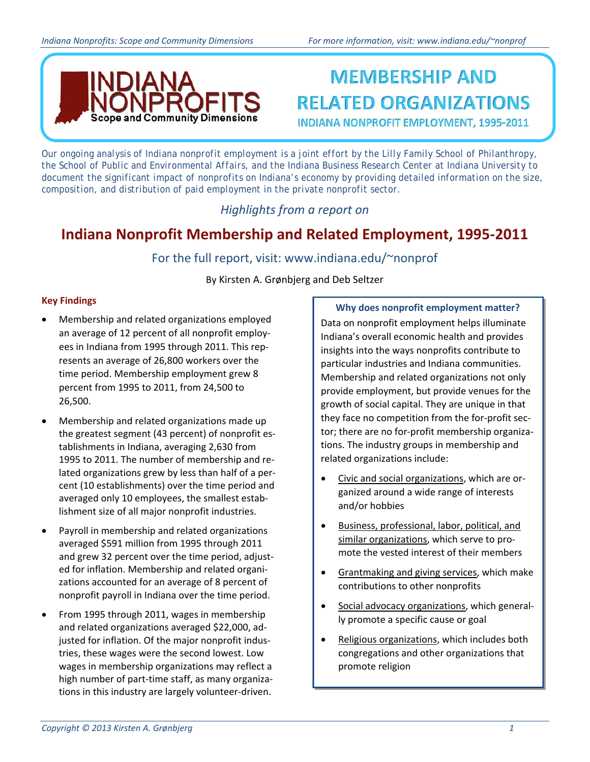

## **MEMBERSHIP AND RELATED ORGANIZATIONS INDIANA NONPROFIT EMPLOYMENT, 1995-2011**

*Our ongoing analysis of Indiana nonprofit employment is a joint effort by the Lilly Family School of Philanthropy, the School of Public and Environmental Affairs, and the Indiana Business Research Center at Indiana University to document the significant impact of nonprofits on Indiana's economy by providing detailed information on the size, composition, and distribution of paid employment in the private nonprofit sector.* 

### *Highlights from a report on*

## **Indiana Nonprofit Membership and Related Employment, 1995-2011**

### For the full report, visit: www.indiana.edu/~nonprof

By Kirsten A. Grønbjerg and Deb Seltzer

### **Key Findings**

- Membership and related organizations employed an average of 12 percent of all nonprofit employees in Indiana from 1995 through 2011. This represents an average of 26,800 workers over the time period. Membership employment grew 8 percent from 1995 to 2011, from 24,500 to 26,500.
- Membership and related organizations made up the greatest segment (43 percent) of nonprofit establishments in Indiana, averaging 2,630 from 1995 to 2011. The number of membership and related organizations grew by less than half of a percent (10 establishments) over the time period and averaged only 10 employees, the smallest establishment size of all major nonprofit industries.
- Payroll in membership and related organizations averaged \$591 million from 1995 through 2011 and grew 32 percent over the time period, adjusted for inflation. Membership and related organizations accounted for an average of 8 percent of nonprofit payroll in Indiana over the time period.
- From 1995 through 2011, wages in membership and related organizations averaged \$22,000, adjusted for inflation. Of the major nonprofit industries, these wages were the second lowest. Low wages in membership organizations may reflect a high number of part-time staff, as many organizations in this industry are largely volunteer-driven.

### **Why does nonprofit employment matter?**

Data on nonprofit employment helps illuminate Indiana's overall economic health and provides insights into the ways nonprofits contribute to particular industries and Indiana communities. Membership and related organizations not only provide employment, but provide venues for the growth of social capital. They are unique in that they face no competition from the for-profit sector; there are no for-profit membership organizations. The industry groups in membership and related organizations include:

- Civic and social organizations, which are organized around a wide range of interests and/or hobbies
- Business, professional, labor, political, and similar organizations, which serve to promote the vested interest of their members
- Grantmaking and giving services, which make contributions to other nonprofits
- Social advocacy organizations, which generally promote a specific cause or goal
- Religious organizations, which includes both congregations and other organizations that promote religion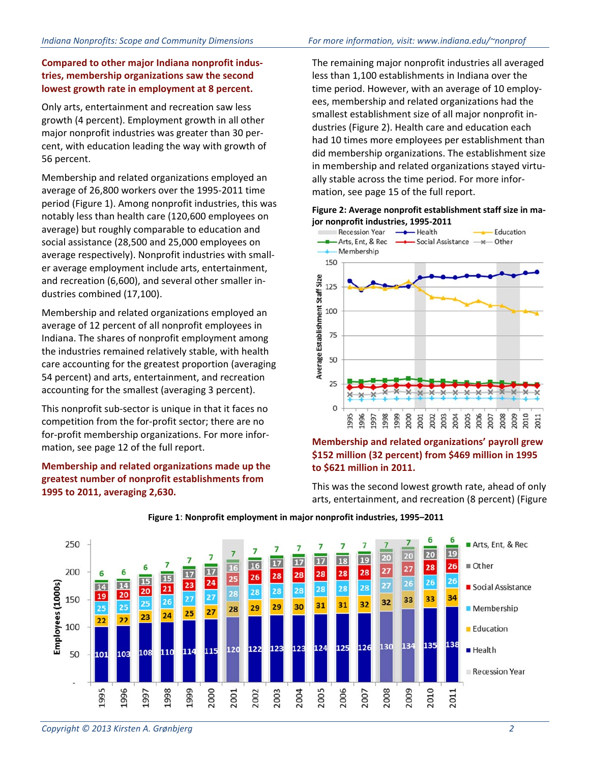### **Compared to other major Indiana nonprofit industries, membership organizations saw the second lowest growth rate in employment at 8 percent.**

Only arts, entertainment and recreation saw less growth (4 percent). Employment growth in all other major nonprofit industries was greater than 30 percent, with education leading the way with growth of 56 percent.

Membership and related organizations employed an average of 26,800 workers over the 1995-2011 time period (Figure 1). Among nonprofit industries, this was notably less than health care (120,600 employees on average) but roughly comparable to education and social assistance (28,500 and 25,000 employees on average respectively). Nonprofit industries with smaller average employment include arts, entertainment, and recreation (6,600), and several other smaller industries combined (17,100).

Membership and related organizations employed an average of 12 percent of all nonprofit employees in Indiana. The shares of nonprofit employment among the industries remained relatively stable, with health care accounting for the greatest proportion (averaging 54 percent) and arts, entertainment, and recreation accounting for the smallest (averaging 3 percent).

This nonprofit sub-sector is unique in that it faces no competition from the for-profit sector; there are no for-profit membership organizations. For more information, see page 12 of the full report.

### **Membership and related organizations made up the greatest number of nonprofit establishments from 1995 to 2011, averaging 2,630.**

The remaining major nonprofit industries all averaged less than 1,100 establishments in Indiana over the time period. However, with an average of 10 employees, membership and related organizations had the smallest establishment size of all major nonprofit industries (Figure 2). Health care and education each had 10 times more employees per establishment than did membership organizations. The establishment size in membership and related organizations stayed virtually stable across the time period. For more information, see page 15 of the full report.

# **Figure 2: Average nonprofit establishment staff size in ma-**



### **Membership and related organizations' payroll grew \$152 million (32 percent) from \$469 million in 1995 to \$621 million in 2011.**

This was the second lowest growth rate, ahead of only arts, entertainment, and recreation (8 percent) (Figure



#### **Figure 1**: **Nonprofit employment in major nonprofit industries, 1995–2011**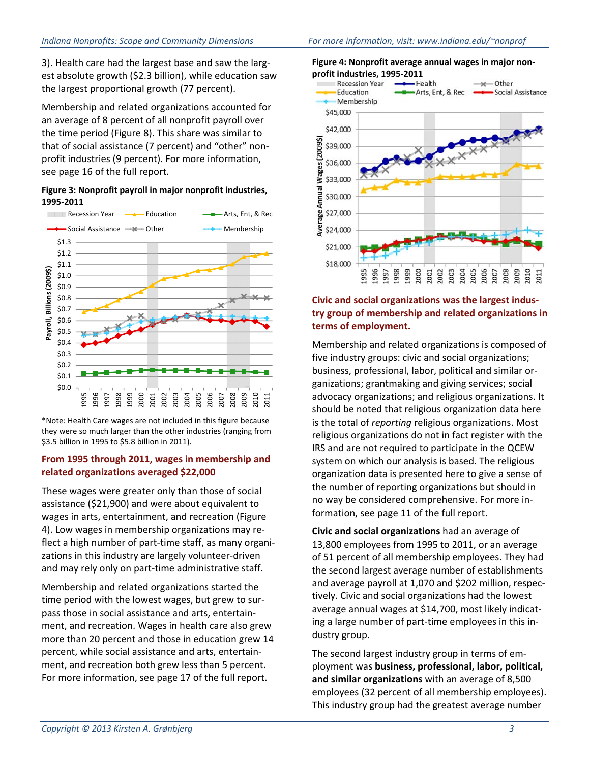3). Health care had the largest base and saw the largest absolute growth (\$2.3 billion), while education saw the largest proportional growth (77 percent).

Membership and related organizations accounted for an average of 8 percent of all nonprofit payroll over the time period (Figure 8). This share was similar to that of social assistance (7 percent) and "other" nonprofit industries (9 percent). For more information, see page 16 of the full report.

#### **Figure 3: Nonprofit payroll in major nonprofit industries, 1995-2011**



\*Note: Health Care wages are not included in this figure because they were so much larger than the other industries (ranging from \$3.5 billion in 1995 to \$5.8 billion in 2011).

### **From 1995 through 2011, wages in membership and related organizations averaged \$22,000**

These wages were greater only than those of social assistance (\$21,900) and were about equivalent to wages in arts, entertainment, and recreation (Figure 4). Low wages in membership organizations may reflect a high number of part-time staff, as many organizations in this industry are largely volunteer-driven and may rely only on part-time administrative staff.

Membership and related organizations started the time period with the lowest wages, but grew to surpass those in social assistance and arts, entertainment, and recreation. Wages in health care also grew more than 20 percent and those in education grew 14 percent, while social assistance and arts, entertainment, and recreation both grew less than 5 percent. For more information, see page 17 of the full report.





### **Civic and social organizations was the largest industry group of membership and related organizations in terms of employment.**

Membership and related organizations is composed of five industry groups: civic and social organizations; business, professional, labor, political and similar organizations; grantmaking and giving services; social advocacy organizations; and religious organizations. It should be noted that religious organization data here is the total of *reporting* religious organizations. Most religious organizations do not in fact register with the IRS and are not required to participate in the QCEW system on which our analysis is based. The religious organization data is presented here to give a sense of the number of reporting organizations but should in no way be considered comprehensive. For more information, see page 11 of the full report.

**Civic and social organizations** had an average of 13,800 employees from 1995 to 2011, or an average of 51 percent of all membership employees. They had the second largest average number of establishments and average payroll at 1,070 and \$202 million, respectively. Civic and social organizations had the lowest average annual wages at \$14,700, most likely indicating a large number of part-time employees in this industry group.

The second largest industry group in terms of employment was **business, professional, labor, political, and similar organizations** with an average of 8,500 employees (32 percent of all membership employees). This industry group had the greatest average number